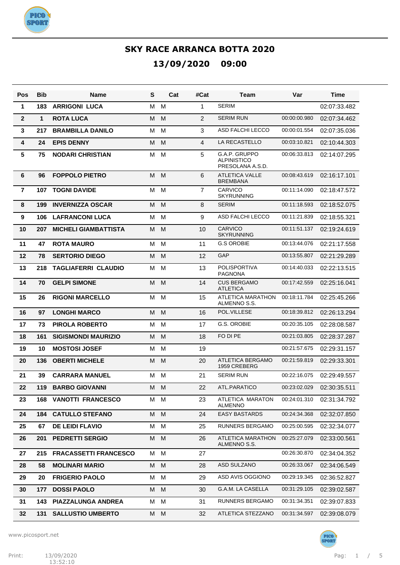

| Pos             | <b>Bib</b> | <b>Name</b>                  | S   | Cat | #Cat           | Team                                                    | Var          | Time         |
|-----------------|------------|------------------------------|-----|-----|----------------|---------------------------------------------------------|--------------|--------------|
| 1               | 183        | <b>ARRIGONI LUCA</b>         | М   | м   | 1              | <b>SERIM</b>                                            |              | 02:07:33.482 |
| $\mathbf{2}$    | 1          | <b>ROTA LUCA</b>             | М   | M   | 2              | <b>SERIM RUN</b>                                        | 00:00:00.980 | 02:07:34.462 |
| $\mathbf{3}$    | 217        | <b>BRAMBILLA DANILO</b>      | м   | M   | 3              | ASD FALCHI LECCO                                        | 00:00:01.554 | 02:07:35.036 |
| 4               | 24         | <b>EPIS DENNY</b>            | М   | M   | 4              | LA RECASTELLO                                           | 00:03:10.821 | 02:10:44.303 |
| $5\phantom{.0}$ | 75         | <b>NODARI CHRISTIAN</b>      | м   | M   | 5              | G.A.P. GRUPPO<br><b>ALPINISTICO</b><br>PRESOLANA A.S.D. | 00:06:33.813 | 02:14:07.295 |
| $6\phantom{1}6$ | 96         | <b>FOPPOLO PIETRO</b>        | M   | M   | 6              | <b>ATLETICA VALLE</b><br><b>BREMBANA</b>                | 00:08:43.619 | 02:16:17.101 |
| $\overline{7}$  | 107        | <b>TOGNI DAVIDE</b>          | м   | M   | $\overline{7}$ | CARVICO<br><b>SKYRUNNING</b>                            | 00:11:14.090 | 02:18:47.572 |
| 8               | 199        | <b>INVERNIZZA OSCAR</b>      | М   | M   | 8              | <b>SERIM</b>                                            | 00:11:18.593 | 02:18:52.075 |
| 9               | 106        | <b>LAFRANCONI LUCA</b>       | м   | M   | 9              | ASD FALCHI LECCO                                        | 00:11:21.839 | 02:18:55.321 |
| 10              | 207        | <b>MICHELI GIAMBATTISTA</b>  | М   | M   | 10             | <b>CARVICO</b><br><b>SKYRUNNING</b>                     | 00:11:51.137 | 02:19:24.619 |
| 11              | 47         | <b>ROTA MAURO</b>            | M   | M   | 11             | <b>G.S OROBIE</b>                                       | 00:13:44.076 | 02:21:17.558 |
| 12              | 78         | <b>SERTORIO DIEGO</b>        | M   | M   | 12             | GAP                                                     | 00:13:55.807 | 02:21:29.289 |
| 13              | 218        | <b>TAGLIAFERRI CLAUDIO</b>   | M   | M   | 13             | <b>POLISPORTIVA</b><br><b>PAGNONA</b>                   | 00:14:40.033 | 02:22:13.515 |
| 14              | 70         | <b>GELPI SIMONE</b>          | M   | M   | 14             | <b>CUS BERGAMO</b><br><b>ATLETICA</b>                   | 00:17:42.559 | 02:25:16.041 |
| 15              | 26         | <b>RIGONI MARCELLO</b>       | М   | M   | 15             | ATLETICA MARATHON<br>ALMENNO S.S.                       | 00:18:11.784 | 02:25:45.266 |
| 16              | 97         | <b>LONGHI MARCO</b>          | M   | M   | 16             | POL.VILLESE                                             | 00:18:39.812 | 02:26:13.294 |
| 17              | 73         | <b>PIROLA ROBERTO</b>        | M   | M   | 17             | G.S. OROBIE                                             | 00:20:35.105 | 02:28:08.587 |
| 18              | 161        | <b>SIGISMONDI MAURIZIO</b>   | M   | M   | 18             | FO DI PE                                                | 00:21:03.805 | 02:28:37.287 |
| 19              | 10         | <b>MOSTOSI JOSEF</b>         | м   | M   | 19             |                                                         | 00:21:57.675 | 02:29:31.157 |
| 20              | 136        | <b>OBERTI MICHELE</b>        | M   | M   | 20             | ATLETICA BERGAMO<br>1959 CREBERG                        | 00:21:59.819 | 02:29:33.301 |
| 21              | 39         | <b>CARRARA MANUEL</b>        | м   | M   | 21             | <b>SERIM RUN</b>                                        | 00:22:16.075 | 02:29:49.557 |
| 22              | 119        | <b>BARBO GIOVANNI</b>        | M   | M   | 22             | ATL.PARATICO                                            | 00:23:02.029 | 02:30:35.511 |
| 23              |            | <b>168 VANOTTI FRANCESCO</b> | M M |     | 23             | ATLETICA MARATON<br><b>ALMENNO</b>                      | 00:24:01.310 | 02:31:34.792 |
| 24              | 184        | <b>CATULLO STEFANO</b>       | M   | M   | 24             | <b>EASY BASTARDS</b>                                    | 00:24:34.368 | 02:32:07.850 |
| 25              | 67         | <b>DE LEIDI FLAVIO</b>       | M   | М   | 25             | RUNNERS BERGAMO                                         | 00:25:00.595 | 02:32:34.077 |
| 26              | 201        | <b>PEDRETTI SERGIO</b>       | M   | M   | 26             | ATLETICA MARATHON<br>ALMENNO S.S.                       | 00:25:27.079 | 02:33:00.561 |
| 27              | 215        | <b>FRACASSETTI FRANCESCO</b> | M M |     | 27             |                                                         | 00:26:30.870 | 02:34:04.352 |
| 28              | 58         | <b>MOLINARI MARIO</b>        | M   | M   | 28             | ASD SULZANO                                             | 00:26:33.067 | 02:34:06.549 |
| 29              | 20         | <b>FRIGERIO PAOLO</b>        | M   | M   | 29             | ASD AVIS OGGIONO                                        | 00:29:19.345 | 02:36:52.827 |
| 30              | 177        | <b>DOSSI PAOLO</b>           | M   | M   | 30             | G.A.M. LA CASELLA                                       | 00:31:29.105 | 02:39:02.587 |
| 31              | 143        | PIAZZALUNGA ANDREA           | M   | M   | 31             | RUNNERS BERGAMO                                         | 00:31:34.351 | 02:39:07.833 |
| 32              | 131        | <b>SALLUSTIO UMBERTO</b>     | M M |     | 32             | ATLETICA STEZZANO                                       | 00:31:34.597 | 02:39:08.079 |

www.picosport.net

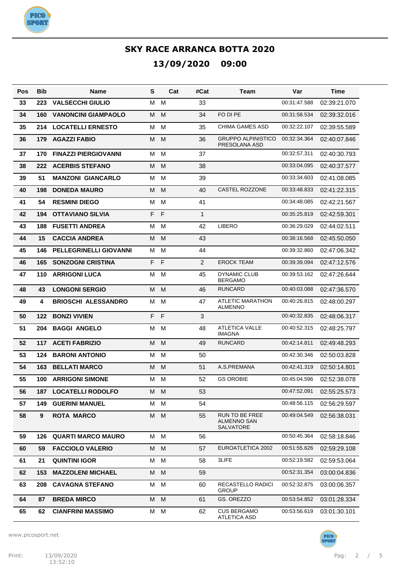

| Pos | Bib | Name                          | S   |              | Cat<br>#Cat    | Team                                              | Var          | Time         |
|-----|-----|-------------------------------|-----|--------------|----------------|---------------------------------------------------|--------------|--------------|
| 33  | 223 | <b>VALSECCHI GIULIO</b>       | M   | M            | 33             |                                                   | 00:31:47.588 | 02:39:21.070 |
| 34  | 160 | <b>VANONCINI GIAMPAOLO</b>    | M   | M            | 34             | FO DI PE                                          | 00:31:58.534 | 02:39:32.016 |
| 35  | 214 | <b>LOCATELLI ERNESTO</b>      | M   | M            | 35             | <b>CHIMA GAMES ASD</b>                            | 00:32:22.107 | 02:39:55.589 |
| 36  | 179 | <b>AGAZZI FABIO</b>           | M   | M            | 36             | <b>GRUPPO ALPINISTICO</b><br>PRESOLANA ASD        | 00:32:34.364 | 02:40:07.846 |
| 37  | 170 | <b>FINAZZI PIERGIOVANNI</b>   | м   | м            | 37             |                                                   | 00:32:57.311 | 02:40:30.793 |
| 38  | 222 | <b>ACERBIS STEFANO</b>        | M   | M            | 38             |                                                   | 00:33:04.095 | 02:40:37.577 |
| 39  | 51  | <b>MANZONI GIANCARLO</b>      | м   | м            | 39             |                                                   | 00:33:34.603 | 02:41:08.085 |
| 40  | 198 | <b>DONEDA MAURO</b>           | M   | M            | 40             | <b>CASTEL ROZZONE</b>                             | 00:33:48.833 | 02:41:22.315 |
| 41  | 54  | <b>RESMINI DIEGO</b>          | м   | м            | 41             |                                                   | 00:34:48.085 | 02:42:21.567 |
| 42  | 194 | <b>OTTAVIANO SILVIA</b>       | F   | $\mathsf{F}$ | $\mathbf{1}$   |                                                   | 00:35:25.819 | 02:42:59.301 |
| 43  | 188 | <b>FUSETTI ANDREA</b>         | M   | M            | 42             | <b>LIBERO</b>                                     | 00:36:29.029 | 02:44:02.511 |
| 44  | 15  | <b>CACCIA ANDREA</b>          | M   | M            | 43             |                                                   | 00:38:16.568 | 02:45:50.050 |
| 45  | 146 | <b>PELLEGRINELLI GIOVANNI</b> | м   | м            | 44             |                                                   | 00:39:32.860 | 02:47:06.342 |
| 46  | 165 | <b>SONZOGNI CRISTINA</b>      | F   | $\mathsf{F}$ | $\overline{2}$ | <b>EROCK TEAM</b>                                 | 00:39:39.094 | 02:47:12.576 |
| 47  | 110 | <b>ARRIGONI LUCA</b>          | м   | м            | 45             | <b>DYNAMIC CLUB</b><br><b>BERGAMO</b>             | 00:39:53.162 | 02:47:26.644 |
| 48  | 43  | <b>LONGONI SERGIO</b>         | M   | M            | 46             | <b>RUNCARD</b>                                    | 00:40:03.088 | 02:47:36.570 |
| 49  | 4   | <b>BRIOSCHI ALESSANDRO</b>    | M   | M            | 47             | <b>ATLETIC MARATHON</b><br><b>ALMENNO</b>         | 00:40:26.815 | 02:48:00.297 |
| 50  | 122 | <b>BONZI VIVIEN</b>           | F   | F            | 3              |                                                   | 00:40:32.835 | 02:48:06.317 |
| 51  | 204 | <b>BAGGI ANGELO</b>           | M   | M            | 48             | <b>ATLETICA VALLE</b><br><b>IMAGNA</b>            | 00:40:52.315 | 02:48:25.797 |
| 52  | 117 | <b>ACETI FABRIZIO</b>         | M   | M            | 49             | <b>RUNCARD</b>                                    | 00:42:14.811 | 02:49:48.293 |
| 53  | 124 | <b>BARONI ANTONIO</b>         | M   | M            | 50             |                                                   | 00:42:30.346 | 02:50:03.828 |
| 54  | 163 | <b>BELLATI MARCO</b>          | M   | M            | 51             | A.S.PREMANA                                       | 00:42:41.319 | 02:50:14.801 |
| 55  | 100 | <b>ARRIGONI SIMONE</b>        | м   | м            | 52             | <b>GS OROBIE</b>                                  | 00:45:04.596 | 02:52:38.078 |
| 56  | 187 | <b>LOCATELLI RODOLFO</b>      | M M |              | 53             |                                                   | 00:47:52.091 | 02:55:25.573 |
| 57  | 149 | <b>GUERINI MANUEL</b>         | м   | M            | 54             |                                                   | 00:48:56.115 | 02:56:29.597 |
| 58  | 9   | <b>ROTA MARCO</b>             | M   | M            | 55             | RUN TO BE FREE<br>ALMENNO SAN<br><b>SALVATORE</b> | 00:49:04.549 | 02:56:38.031 |
| 59  | 126 | <b>QUARTI MARCO MAURO</b>     | M M |              | 56             |                                                   | 00:50:45.364 | 02:58:18.846 |
| 60  | 59  | <b>FACCIOLO VALERIO</b>       | M   | M            | 57             | EUROATLETICA 2002                                 | 00:51:55.626 | 02:59:29.108 |
| 61  | 21  | <b>QUINTINI IGOR</b>          | М   | M            | 58             | 3LIFE                                             | 00:52:19.582 | 02:59:53.064 |
| 62  | 153 | <b>MAZZOLENI MICHAEL</b>      | М   | M            | 59             |                                                   | 00:52:31.354 | 03:00:04.836 |
| 63  | 208 | <b>CAVAGNA STEFANO</b>        | М   | M            | 60             | RECASTELLO RADICI<br><b>GROUP</b>                 | 00:52:32.875 | 03:00:06.357 |
| 64  | 87  | <b>BREDA MIRCO</b>            | M   | M            | 61             | GS. OREZZO                                        | 00:53:54.852 | 03:01:28.334 |
| 65  | 62  | <b>CIANFRINI MASSIMO</b>      | М   | M            | 62             | <b>CUS BERGAMO</b><br>ATLETICA ASD                | 00:53:56.619 | 03:01:30.101 |

www.picosport.net

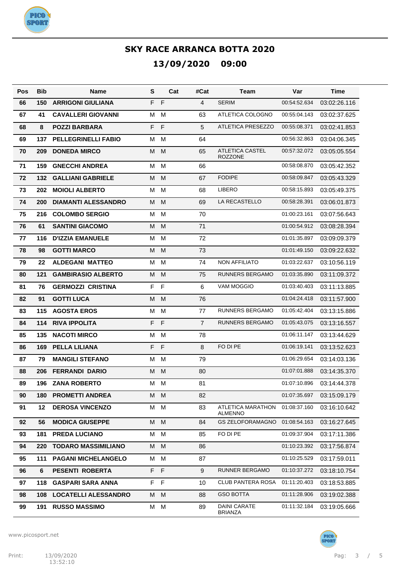

| Pos | <b>Bib</b> | Name                        | S       | Cat          | #Cat           | <b>Team</b>                           | Var          | <b>Time</b>  |
|-----|------------|-----------------------------|---------|--------------|----------------|---------------------------------------|--------------|--------------|
| 66  | 150        | <b>ARRIGONI GIULIANA</b>    | F       | $\mathsf{F}$ | 4              | <b>SERIM</b>                          | 00:54:52.634 | 03:02:26.116 |
| 67  | 41         | <b>CAVALLERI GIOVANNI</b>   | M       | M            | 63             | ATLETICA COLOGNO                      | 00:55:04.143 | 03:02:37.625 |
| 68  | 8          | <b>POZZI BARBARA</b>        | F       | $\mathsf F$  | 5              | <b>ATLETICA PRESEZZO</b>              | 00:55:08.371 | 03:02:41.853 |
| 69  | 137        | <b>PELLEGRINELLI FABIO</b>  | M       | M            | 64             |                                       | 00:56:32.863 | 03:04:06.345 |
| 70  | 209        | <b>DONEDA MIRCO</b>         | M       | M            | 65             | <b>ATLETICA CASTEL</b><br>ROZZONE     | 00:57:32.072 | 03:05:05.554 |
| 71  | 159        | <b>GNECCHI ANDREA</b>       | M       | M            | 66             |                                       | 00:58:08.870 | 03:05:42.352 |
| 72  | 132        | <b>GALLIANI GABRIELE</b>    | M       | M            | 67             | <b>FODIPE</b>                         | 00:58:09.847 | 03:05:43.329 |
| 73  | 202        | <b>MOIOLI ALBERTO</b>       | M       | M            | 68             | <b>LIBERO</b>                         | 00:58:15.893 | 03:05:49.375 |
| 74  | 200        | <b>DIAMANTI ALESSANDRO</b>  | м       | M            | 69             | LA RECASTELLO                         | 00:58:28.391 | 03:06:01.873 |
| 75  | 216        | <b>COLOMBO SERGIO</b>       | M       | M            | 70             |                                       | 01:00:23.161 | 03:07:56.643 |
| 76  | 61         | <b>SANTINI GIACOMO</b>      | M       | M            | 71             |                                       | 01:00:54.912 | 03:08:28.394 |
| 77  | 116        | <b>D'IZZIA EMANUELE</b>     | M       | M            | 72             |                                       | 01:01:35.897 | 03:09:09.379 |
| 78  | 98         | <b>GOTTI MARCO</b>          | M       | M            | 73             |                                       | 01:01:49.150 | 03:09:22.632 |
| 79  | 22         | <b>ALDEGANI MATTEO</b>      | M       | M            | 74             | <b>NON AFFILIATO</b>                  | 01:03:22.637 | 03:10:56.119 |
| 80  | 121        | <b>GAMBIRASIO ALBERTO</b>   | M       | M            | 75             | RUNNERS BERGAMO                       | 01:03:35.890 | 03:11:09.372 |
| 81  | 76         | <b>GERMOZZI CRISTINA</b>    | F       | $\mathsf F$  | 6              | VAM MOGGIO                            | 01:03:40.403 | 03:11:13.885 |
| 82  | 91         | <b>GOTTI LUCA</b>           | M       | M            | 76             |                                       | 01:04:24.418 | 03:11:57.900 |
| 83  | 115        | <b>AGOSTA EROS</b>          | M       | M            | 77             | RUNNERS BERGAMO                       | 01:05:42.404 | 03:13:15.886 |
| 84  | 114        | <b>RIVA IPPOLITA</b>        | F       | $\mathsf{F}$ | $\overline{7}$ | RUNNERS BERGAMO                       | 01:05:43.075 | 03:13:16.557 |
| 85  | 135        | <b>NACOTI MIRCO</b>         | M       | M            | 78             |                                       | 01:06:11.147 | 03:13:44.629 |
| 86  | 169        | <b>PELLA LILIANA</b>        | F       | F            | 8              | FO DI PE                              | 01:06:19.141 | 03:13:52.623 |
| 87  | 79         | <b>MANGILI STEFANO</b>      | м       | M            | 79             |                                       | 01:06:29.654 | 03:14:03.136 |
| 88  | 206        | <b>FERRANDI DARIO</b>       | м       | M            | 80             |                                       | 01:07:01.888 | 03:14:35.370 |
| 89  | 196        | <b>ZANA ROBERTO</b>         | м       | м            | 81             |                                       | 01:07:10.896 | 03:14:44.378 |
| 90  | 180        | <b>PROMETTI ANDREA</b>      | M M     |              | 82             |                                       | 01:07:35.697 | 03:15:09.179 |
| 91  | 12         | <b>DEROSA VINCENZO</b>      | М       | M            | 83             | ATLETICA MARATHON<br><b>ALMENNO</b>   | 01:08:37.160 | 03:16:10.642 |
| 92  | 56         | <b>MODICA GIUSEPPE</b>      | M       | M            | 84             | <b>GS ZELOFORAMAGNO</b>               | 01:08:54.163 | 03:16:27.645 |
| 93  | 181        | <b>PREDA LUCIANO</b>        | М       | M            | 85             | FO DI PE                              | 01:09:37.904 | 03:17:11.386 |
| 94  | 220        | <b>TODARO MASSIMILIANO</b>  | М       | M            | 86             |                                       | 01:10:23.392 | 03:17:56.874 |
| 95  | 111        | <b>PAGANI MICHELANGELO</b>  | М       | M            | 87             |                                       | 01:10:25.529 | 03:17:59.011 |
| 96  | 6          | <b>PESENTI ROBERTA</b>      | F F     |              | 9              | RUNNER BERGAMO                        | 01:10:37.272 | 03:18:10.754 |
| 97  | 118        | <b>GASPARI SARA ANNA</b>    | $F$ $F$ |              | 10             | <b>CLUB PANTERA ROSA</b>              | 01:11:20.403 | 03:18:53.885 |
| 98  | 108        | <b>LOCATELLI ALESSANDRO</b> | M       | M            | 88             | <b>GSO BOTTA</b>                      | 01:11:28.906 | 03:19:02.388 |
| 99  | 191        | <b>RUSSO MASSIMO</b>        | М       | M            | 89             | <b>DAINI CARATE</b><br><b>BRIANZA</b> | 01:11:32.184 | 03:19:05.666 |

www.picosport.net



PICO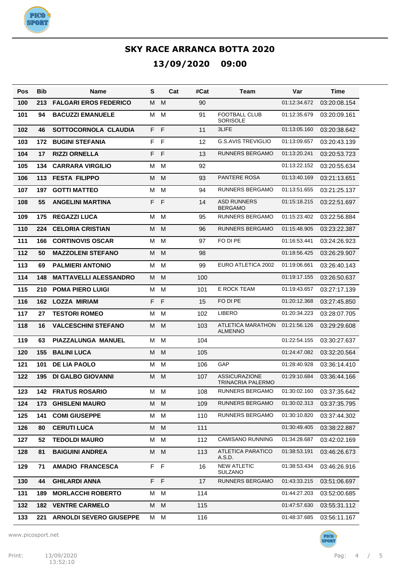

| Pos | <b>Bib</b> | Name                           | S       | Cat          | #Cat | Team                                      | Var          | Time         |
|-----|------------|--------------------------------|---------|--------------|------|-------------------------------------------|--------------|--------------|
| 100 | 213        | <b>FALGARI EROS FEDERICO</b>   | M       | M            | 90   |                                           | 01:12:34.672 | 03:20:08.154 |
| 101 | 94         | <b>BACUZZI EMANUELE</b>        | M       | М            | 91   | <b>FOOTBALL CLUB</b><br><b>SORISOLE</b>   | 01:12:35.679 | 03:20:09.161 |
| 102 | 46         | SOTTOCORNOLA CLAUDIA           | F       | F            | 11   | 3LIFE                                     | 01:13:05.160 | 03:20:38.642 |
| 103 | 172        | <b>BUGINI STEFANIA</b>         | F       | $\mathsf{F}$ | 12   | <b>G.S.AVIS TREVIGLIO</b>                 | 01:13:09.657 | 03:20:43.139 |
| 104 | 17         | <b>RIZZI ORNELLA</b>           | F       | F            | 13   | <b>RUNNERS BERGAMO</b>                    | 01:13:20.241 | 03:20:53.723 |
| 105 | 134        | <b>CARRARA VIRGILIO</b>        | м       | M            | 92   |                                           | 01:13:22.152 | 03:20:55.634 |
| 106 | 113        | <b>FESTA FILIPPO</b>           | м       | M            | 93   | <b>PANTERE ROSA</b>                       | 01:13:40.169 | 03:21:13.651 |
| 107 | 197        | <b>GOTTI MATTEO</b>            | м       | M            | 94   | <b>RUNNERS BERGAMO</b>                    | 01:13:51.655 | 03:21:25.137 |
| 108 | 55         | <b>ANGELINI MARTINA</b>        | F       | F            | 14   | <b>ASD RUNNERS</b><br><b>BERGAMO</b>      | 01:15:18.215 | 03:22:51.697 |
| 109 | 175        | <b>REGAZZI LUCA</b>            | M       | M            | 95   | <b>RUNNERS BERGAMO</b>                    | 01:15:23.402 | 03:22:56.884 |
| 110 | 224        | <b>CELORIA CRISTIAN</b>        | M       | M            | 96   | <b>RUNNERS BERGAMO</b>                    | 01:15:48.905 | 03:23:22.387 |
| 111 | 166        | <b>CORTINOVIS OSCAR</b>        | M       | M            | 97   | FO DI PE                                  | 01:16:53.441 | 03:24:26.923 |
| 112 | 50         | <b>MAZZOLENI STEFANO</b>       | M       | M            | 98   |                                           | 01:18:56.425 | 03:26:29.907 |
| 113 | 69         | <b>PALMIERI ANTONIO</b>        | M       | M            | 99   | <b>EURO ATLETICA 2002</b>                 | 01:19:06.661 | 03:26:40.143 |
| 114 | 148        | <b>MATTAVELLI ALESSANDRO</b>   | M       | M            | 100  |                                           | 01:19:17.155 | 03:26:50.637 |
| 115 | 210        | <b>POMA PIERO LUIGI</b>        | M       | М            | 101  | E ROCK TEAM                               | 01:19:43.657 | 03:27:17.139 |
| 116 | 162        | LOZZA MIRIAM                   | F       | F            | 15   | FO DI PE                                  | 01:20:12.368 | 03:27:45.850 |
| 117 | 27         | <b>TESTORI ROMEO</b>           | M       | M            | 102  | <b>LIBERO</b>                             | 01:20:34.223 | 03:28:07.705 |
| 118 | 16         | <b>VALCESCHINI STEFANO</b>     | M       | M            | 103  | ATLETICA MARATHON<br><b>ALMENNO</b>       | 01:21:56.126 | 03:29:29.608 |
| 119 | 63         | PIAZZALUNGA MANUEL             | M       | M            | 104  |                                           | 01:22:54.155 | 03:30:27.637 |
| 120 | 155        | <b>BALINI LUCA</b>             | M       | M            | 105  |                                           | 01:24:47.082 | 03:32:20.564 |
| 121 | 101        | <b>DE LIA PAOLO</b>            | M       | м            | 106  | GAP                                       | 01:28:40.928 | 03:36:14.410 |
| 122 | 195        | <b>DI GALBO GIOVANNI</b>       | M       | M            | 107  | <b>ASSICURAZIONE</b><br>TRINACRIA PALERMO | 01:29:10.684 | 03:36:44.166 |
| 123 |            | <b>142 FRATUS ROSARIO</b>      |         | M M          | 108  | <b>RUNNERS BERGAMO</b>                    | 01:30:02.160 | 03:37:35.642 |
| 124 | 173        | <b>GHISLENI MAURO</b>          | М       | M            | 109  | RUNNERS BERGAMO                           | 01:30:02.313 | 03:37:35.795 |
| 125 | 141        | <b>COMI GIUSEPPE</b>           | м       | М            | 110  | RUNNERS BERGAMO                           | 01:30:10.820 | 03:37:44.302 |
| 126 | 80         | <b>CERUTI LUCA</b>             | М       | M            | 111  |                                           | 01:30:49.405 | 03:38:22.887 |
| 127 | 52         | <b>TEDOLDI MAURO</b>           | м       | М            | 112  | <b>CAMISANO RUNNING</b>                   | 01:34:28.687 | 03:42:02.169 |
| 128 | 81         | <b>BAIGUINI ANDREA</b>         | M       | M            | 113  | <b>ATLETICA PARATICO</b><br>A.S.D.        | 01:38:53.191 | 03:46:26.673 |
| 129 | 71         | <b>AMADIO FRANCESCA</b>        | $F$ $F$ |              | 16   | <b>NEW ATLETIC</b><br><b>SULZANO</b>      | 01:38:53.434 | 03:46:26.916 |
| 130 | 44         | <b>GHILARDI ANNA</b>           | $F$ $F$ |              | 17   | RUNNERS BERGAMO                           | 01:43:33.215 | 03:51:06.697 |
| 131 | 189        | <b>MORLACCHI ROBERTO</b>       | M       | М            | 114  |                                           | 01:44:27.203 | 03:52:00.685 |
| 132 | 182        | <b>VENTRE CARMELO</b>          | M       | M            | 115  |                                           | 01:47:57.630 | 03:55:31.112 |
| 133 | 221        | <b>ARNOLDI SEVERO GIUSEPPE</b> | М       | М            | 116  |                                           | 01:48:37.685 | 03:56:11.167 |

www.picosport.net



PICO<sup>:</sup><br>SPORT